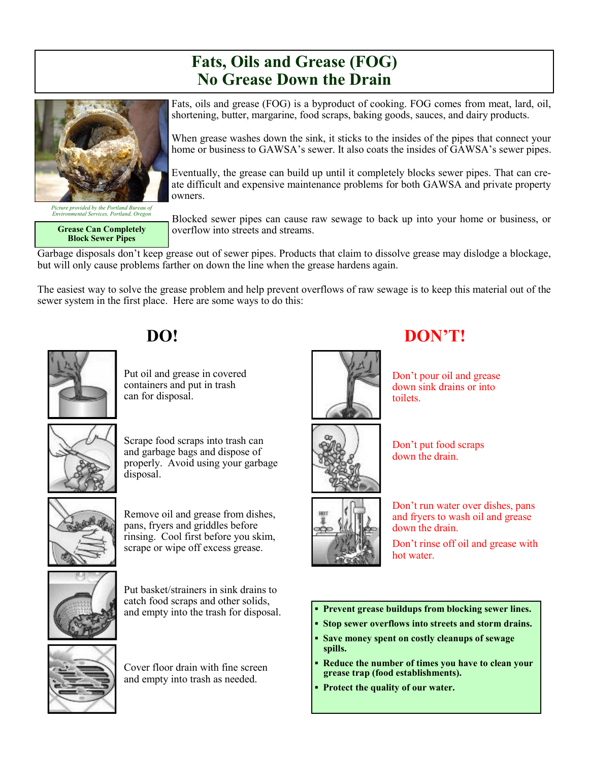## **Fats, Oils and Grease (FOG) No Grease Down the Drain**



*Picture provided by the Portland Bureau of Environmental Services, Portland, Oregon*

**Grease Can Completely Block Sewer Pipes**

Fats, oils and grease (FOG) is a byproduct of cooking. FOG comes from meat, lard, oil, shortening, butter, margarine, food scraps, baking goods, sauces, and dairy products.

When grease washes down the sink, it sticks to the insides of the pipes that connect your home or business to GAWSA's sewer. It also coats the insides of GAWSA's sewer pipes.

Eventually, the grease can build up until it completely blocks sewer pipes. That can create difficult and expensive maintenance problems for both GAWSA and private property owners.

Blocked sewer pipes can cause raw sewage to back up into your home or business, or overflow into streets and streams.

Garbage disposals don't keep grease out of sewer pipes. Products that claim to dissolve grease may dislodge a blockage, but will only cause problems farther on down the line when the grease hardens again.

The easiest way to solve the grease problem and help prevent overflows of raw sewage is to keep this material out of the sewer system in the first place. Here are some ways to do this:



## **DO! DON'T!**

Put oil and grease in covered containers and put in trash can for disposal.



Scrape food scraps into trash can and garbage bags and dispose of properly. Avoid using your garbage disposal.



Remove oil and grease from dishes, pans, fryers and griddles before rinsing. Cool first before you skim, scrape or wipe off excess grease.



Put basket/strainers in sink drains to catch food scraps and other solids, and empty into the trash for disposal.



Cover floor drain with fine screen and empty into trash as needed.





Don't pour oil and grease down sink drains or into toilets.



Don't put food scraps down the drain.



Don't run water over dishes, pans and fryers to wash oil and grease down the drain.

Don't rinse off oil and grease with hot water.

- **Prevent grease buildups from blocking sewer lines.**
- **Stop sewer overflows into streets and storm drains.**
- **Save money spent on costly cleanups of sewage spills.**
- **Reduce the number of times you have to clean your grease trap (food establishments).**
- **Protect the quality of our water.**